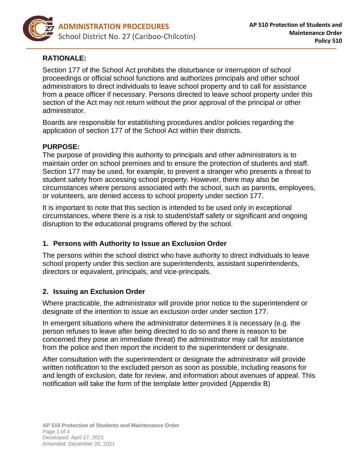

# **RATIONALE:**

Section 177 of the School Act prohibits the disturbance or interruption of school proceedings or official school functions and authorizes principals and other school administrators to direct individuals to leave school property and to call for assistance from a peace officer if necessary. Persons directed to leave school property under this section of the Act may not return without the prior approval of the principal or other administrator.

Boards are responsible for establishing procedures and/or policies regarding the application of section 177 of the School Act within their districts.

#### **PURPOSE:**

The purpose of providing this authority to principals and other administrators is to maintain order on school premises and to ensure the protection of students and staff. Section 177 may be used, for example, to prevent a stranger who presents a threat to student safety from accessing school property. However, there may also be circumstances where persons associated with the school, such as parents, employees, or volunteers, are denied access to school property under section 177.

It is important to note that this section is intended to be used only in exceptional circumstances, where there is a risk to student/staff safety or significant and ongoing disruption to the educational programs offered by the school.

# **1. Persons with Authority to Issue an Exclusion Order**

The persons within the school district who have authority to direct individuals to leave school property under this section are superintendents, assistant superintendents, directors or equivalent, principals, and vice-principals.

# **2. Issuing an Exclusion Order**

Where practicable, the administrator will provide prior notice to the superintendent or designate of the intention to issue an exclusion order under section 177.

In emergent situations where the administrator determines it is necessary (e.g. the person refuses to leave after being directed to do so and there is reason to be concerned they pose an immediate threat) the administrator may call for assistance from the police and then report the incident to the superintendent or designate.

After consultation with the superintendent or designate the administrator will provide written notification to the excluded person as soon as possible, including reasons for and length of exclusion, date for review, and information about avenues of appeal. This notification will take the form of the template letter provided (Appendix B)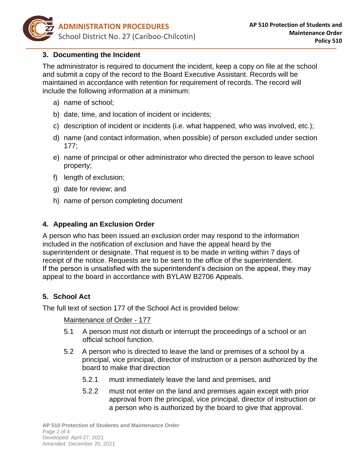

#### **3. Documenting the Incident**

The administrator is required to document the incident, keep a copy on file at the school and submit a copy of the record to the Board Executive Assistant. Records will be maintained in accordance with retention for requirement of records. The record will include the following information at a minimum:

- a) name of school;
- b) date, time, and location of incident or incidents;
- c) description of incident or incidents (i.e. what happened, who was involved, etc.);
- d) name (and contact information, when possible) of person excluded under section 177;
- e) name of principal or other administrator who directed the person to leave school property;
- f) length of exclusion;
- g) date for review; and
- h) name of person completing document

# **4. Appealing an Exclusion Order**

A person who has been issued an exclusion order may respond to the information included in the notification of exclusion and have the appeal heard by the superintendent or designate. That request is to be made in writing within 7 days of receipt of the notice. Requests are to be sent to the office of the superintendent. If the person is unsatisfied with the superintendent's decision on the appeal, they may appeal to the board in accordance with BYLAW B2706 Appeals.

# **5. School Act**

The full text of section 177 of the School Act is provided below:

#### Maintenance of Order - 177

- 5.1 A person must not disturb or interrupt the proceedings of a school or an official school function.
- 5.2 A person who is directed to leave the land or premises of a school by a principal, vice principal, director of instruction or a person authorized by the board to make that direction
	- 5.2.1 must immediately leave the land and premises, and
	- 5.2.2 must not enter on the land and premises again except with prior approval from the principal, vice principal, director of instruction or a person who is authorized by the board to give that approval.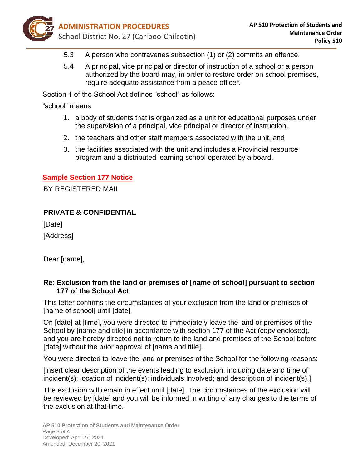

- 5.3 A person who contravenes subsection (1) or (2) commits an offence.
- 5.4 A principal, vice principal or director of instruction of a school or a person authorized by the board may, in order to restore order on school premises, require adequate assistance from a peace officer.

Section 1 of the School Act defines "school" as follows:

"school" means

- 1. a body of students that is organized as a unit for educational purposes under the supervision of a principal, vice principal or director of instruction,
- 2. the teachers and other staff members associated with the unit, and
- 3. the facilities associated with the unit and includes a Provincial resource program and a distributed learning school operated by a board.

#### **Sample Section 177 Notice**

BY REGISTERED MAIL

# **PRIVATE & CONFIDENTIAL**

[Date]

[Address]

Dear [name],

#### **Re: Exclusion from the land or premises of [name of school] pursuant to section 177 of the School Act**

This letter confirms the circumstances of your exclusion from the land or premises of [name of school] until [date].

On [date] at [time], you were directed to immediately leave the land or premises of the School by [name and title] in accordance with section 177 of the Act (copy enclosed), and you are hereby directed not to return to the land and premises of the School before [date] without the prior approval of [name and title].

You were directed to leave the land or premises of the School for the following reasons:

[insert clear description of the events leading to exclusion, including date and time of incident(s); location of incident(s); individuals Involved; and description of incident(s).]

The exclusion will remain in effect until [date]. The circumstances of the exclusion will be reviewed by [date] and you will be informed in writing of any changes to the terms of the exclusion at that time.